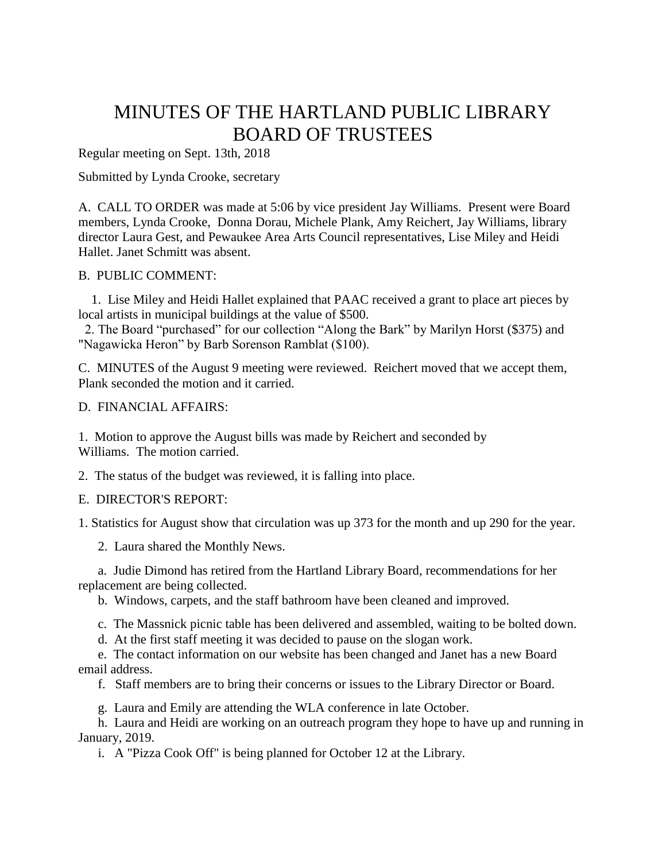# MINUTES OF THE HARTLAND PUBLIC LIBRARY BOARD OF TRUSTEES

Regular meeting on Sept. 13th, 2018

Submitted by Lynda Crooke, secretary

A. CALL TO ORDER was made at 5:06 by vice president Jay Williams. Present were Board members, Lynda Crooke, Donna Dorau, Michele Plank, Amy Reichert, Jay Williams, library director Laura Gest, and Pewaukee Area Arts Council representatives, Lise Miley and Heidi Hallet. Janet Schmitt was absent.

# B. PUBLIC COMMENT:

1. Lise Miley and Heidi Hallet explained that PAAC received a grant to place art pieces by local artists in municipal buildings at the value of \$500.

2. The Board "purchased" for our collection "Along the Bark" by Marilyn Horst (\$375) and "Nagawicka Heron" by Barb Sorenson Ramblat (\$100).

C. MINUTES of the August 9 meeting were reviewed. Reichert moved that we accept them, Plank seconded the motion and it carried.

# D. FINANCIAL AFFAIRS:

1. Motion to approve the August bills was made by Reichert and seconded by Williams. The motion carried.

2. The status of the budget was reviewed, it is falling into place.

# E. DIRECTOR'S REPORT:

1. Statistics for August show that circulation was up 373 for the month and up 290 for the year.

2. Laura shared the Monthly News.

 a. Judie Dimond has retired from the Hartland Library Board, recommendations for her replacement are being collected.

b. Windows, carpets, and the staff bathroom have been cleaned and improved.

c. The Massnick picnic table has been delivered and assembled, waiting to be bolted down.

d. At the first staff meeting it was decided to pause on the slogan work.

e. The contact information on our website has been changed and Janet has a new Board email address.

f. Staff members are to bring their concerns or issues to the Library Director or Board.

g. Laura and Emily are attending the WLA conference in late October.

h. Laura and Heidi are working on an outreach program they hope to have up and running in January, 2019.

i. A "Pizza Cook Off" is being planned for October 12 at the Library.